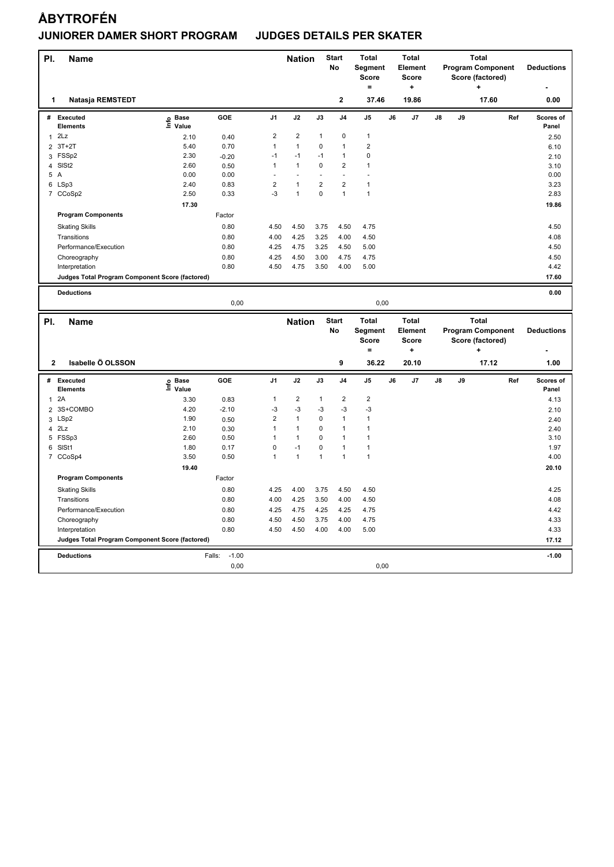| PI.            | <b>Name</b>                                     |                   |                   |                         | <b>Nation</b>  |              | <b>Start</b><br>No | <b>Total</b><br>Segment<br><b>Score</b> |    | <b>Total</b><br><b>Element</b><br><b>Score</b> |    |    | <b>Total</b><br><b>Program Component</b><br>Score (factored) |     | <b>Deductions</b>  |
|----------------|-------------------------------------------------|-------------------|-------------------|-------------------------|----------------|--------------|--------------------|-----------------------------------------|----|------------------------------------------------|----|----|--------------------------------------------------------------|-----|--------------------|
|                |                                                 |                   |                   |                         |                |              |                    | $\equiv$                                |    | ÷                                              |    |    | ÷                                                            |     |                    |
| 1              | Natasja REMSTEDT                                |                   |                   |                         |                |              | $\mathbf{2}$       | 37.46                                   |    | 19.86                                          |    |    | 17.60                                                        |     | 0.00               |
| #              | <b>Executed</b><br>Elements                     | e Base<br>⊑ Value | GOE               | J <sub>1</sub>          | J2             | J3           | J <sub>4</sub>     | J5                                      | J6 | J7                                             | J8 | J9 |                                                              | Ref | Scores of<br>Panel |
|                | $1$ $2Lz$                                       | 2.10              | 0.40              | $\overline{\mathbf{c}}$ | $\overline{2}$ | $\mathbf{1}$ | $\mathbf 0$        | $\mathbf{1}$                            |    |                                                |    |    |                                                              |     | 2.50               |
| $\overline{2}$ | $3T+2T$                                         | 5.40              | 0.70              | $\mathbf{1}$            | $\mathbf{1}$   | 0            | $\mathbf{1}$       | $\overline{2}$                          |    |                                                |    |    |                                                              |     | 6.10               |
|                | 3 FSSp2                                         | 2.30              | $-0.20$           | $-1$                    | $-1$           | $-1$         | $\mathbf{1}$       | $\pmb{0}$                               |    |                                                |    |    |                                                              |     | 2.10               |
|                | 4 SISt2                                         | 2.60              | 0.50              | 1                       | $\mathbf{1}$   | 0            | $\overline{2}$     | $\ddot{\phantom{0}}$                    |    |                                                |    |    |                                                              |     | 3.10               |
|                | 5 A                                             | 0.00              | 0.00              |                         | $\blacksquare$ |              | ÷.                 |                                         |    |                                                |    |    |                                                              |     | 0.00               |
|                | 6 LSp3                                          | 2.40              | 0.83              | $\overline{\mathbf{c}}$ | 1              | 2            | $\overline{2}$     | 1                                       |    |                                                |    |    |                                                              |     | 3.23               |
|                | 7 CCoSp2                                        | 2.50              | 0.33              | $-3$                    | $\mathbf{1}$   | 0            | $\mathbf{1}$       | $\mathbf{1}$                            |    |                                                |    |    |                                                              |     | 2.83               |
|                |                                                 | 17.30             |                   |                         |                |              |                    |                                         |    |                                                |    |    |                                                              |     | 19.86              |
|                | <b>Program Components</b>                       |                   | Factor            |                         |                |              |                    |                                         |    |                                                |    |    |                                                              |     |                    |
|                | <b>Skating Skills</b>                           |                   | 0.80              | 4.50                    | 4.50           | 3.75         | 4.50               | 4.75                                    |    |                                                |    |    |                                                              |     | 4.50               |
|                | Transitions                                     |                   | 0.80              | 4.00                    | 4.25           | 3.25         | 4.00               | 4.50                                    |    |                                                |    |    |                                                              |     | 4.08               |
|                | Performance/Execution                           |                   | 0.80              | 4.25                    | 4.75           | 3.25         | 4.50               | 5.00                                    |    |                                                |    |    |                                                              |     | 4.50               |
|                | Choreography                                    |                   | 0.80              | 4.25                    | 4.50           | 3.00         | 4.75               | 4.75                                    |    |                                                |    |    |                                                              |     | 4.50               |
|                | Interpretation                                  |                   | 0.80              | 4.50                    | 4.75           | 3.50         | 4.00               | 5.00                                    |    |                                                |    |    |                                                              |     | 4.42               |
|                | Judges Total Program Component Score (factored) |                   |                   |                         |                |              |                    |                                         |    |                                                |    |    |                                                              |     | 17.60              |
|                | <b>Deductions</b>                               |                   |                   |                         |                |              |                    |                                         |    |                                                |    |    |                                                              |     | 0.00               |
|                |                                                 |                   | 0,00              |                         |                |              |                    | 0,00                                    |    |                                                |    |    |                                                              |     |                    |
|                |                                                 |                   |                   |                         |                |              |                    |                                         |    |                                                |    |    |                                                              |     |                    |
|                |                                                 |                   |                   |                         |                |              |                    |                                         |    |                                                |    |    |                                                              |     |                    |
| PI.            | <b>Name</b>                                     |                   |                   |                         | <b>Nation</b>  |              | <b>Start</b>       | <b>Total</b>                            |    | <b>Total</b>                                   |    |    | <b>Total</b>                                                 |     |                    |
|                |                                                 |                   |                   |                         |                |              | No                 | Segment                                 |    | Element                                        |    |    | <b>Program Component</b>                                     |     | <b>Deductions</b>  |
|                |                                                 |                   |                   |                         |                |              |                    | Score<br>$\equiv$                       |    | <b>Score</b>                                   |    |    | Score (factored)                                             |     |                    |
|                |                                                 |                   |                   |                         |                |              |                    |                                         |    | ۰.                                             |    |    |                                                              |     |                    |
| $\mathbf{2}$   | Isabelle Ö OLSSON                               |                   |                   |                         |                |              | 9                  | 36.22                                   |    | 20.10                                          |    |    | 17.12                                                        |     | 1.00               |
| #              | <b>Executed</b>                                 |                   | GOE               | J <sub>1</sub>          | J2             | J3           | J <sub>4</sub>     | J <sub>5</sub>                          | J6 | J7                                             | J8 | J9 |                                                              | Ref | Scores of          |
|                | Elements                                        | e Base<br>⊑ Value |                   |                         |                |              |                    |                                         |    |                                                |    |    |                                                              |     | Panel              |
| 1              | 2A                                              | 3.30              | 0.83              | 1                       | $\overline{2}$ | $\mathbf{1}$ | $\overline{2}$     | $\overline{2}$                          |    |                                                |    |    |                                                              |     | 4.13               |
|                | 2 3S+COMBO                                      | 4.20              | $-2.10$           | $-3$                    | $-3$           | $-3$         | $-3$               | -3                                      |    |                                                |    |    |                                                              |     | 2.10               |
| 3              | LSp2                                            | 1.90              | 0.50              | $\overline{\mathbf{c}}$ | 1              | 0            | $\mathbf{1}$       | $\mathbf{1}$                            |    |                                                |    |    |                                                              |     | 2.40               |
| $\overline{4}$ | 2Lz                                             | 2.10              | 0.30              | 1                       | $\mathbf{1}$   | 0            | $\mathbf{1}$       | $\mathbf{1}$                            |    |                                                |    |    |                                                              |     | 2.40               |
|                | 5 FSSp3                                         | 2.60              | 0.50              | 1                       | 1              | 0            | $\mathbf{1}$       | $\mathbf{1}$                            |    |                                                |    |    |                                                              |     | 3.10               |
| 6              | SISt1                                           | 1.80              | 0.17              | 0                       | $-1$           | 0            | $\mathbf{1}$       | $\mathbf{1}$                            |    |                                                |    |    |                                                              |     | 1.97               |
|                | 7 CCoSp4                                        | 3.50              | 0.50              | 1                       | $\mathbf{1}$   | 1            | $\overline{1}$     | $\overline{1}$                          |    |                                                |    |    |                                                              |     | 4.00               |
|                |                                                 | 19.40             |                   |                         |                |              |                    |                                         |    |                                                |    |    |                                                              |     | 20.10              |
|                | <b>Program Components</b>                       |                   | Factor            |                         |                |              |                    |                                         |    |                                                |    |    |                                                              |     |                    |
|                | <b>Skating Skills</b>                           |                   | 0.80              | 4.25                    | 4.00           | 3.75         | 4.50               | 4.50                                    |    |                                                |    |    |                                                              |     | 4.25               |
|                | Transitions                                     |                   | 0.80              | 4.00                    | 4.25           | 3.50         | 4.00               | 4.50                                    |    |                                                |    |    |                                                              |     | 4.08               |
|                | Performance/Execution                           |                   | 0.80              | 4.25                    | 4.75           | 4.25         | 4.25               | 4.75                                    |    |                                                |    |    |                                                              |     | 4.42               |
|                | Choreography                                    |                   | 0.80              | 4.50                    | 4.50           | 3.75         | 4.00               | 4.75                                    |    |                                                |    |    |                                                              |     | 4.33               |
|                | Interpretation                                  |                   | 0.80              | 4.50                    | 4.50           | 4.00         | 4.00               | 5.00                                    |    |                                                |    |    |                                                              |     | 4.33               |
|                | Judges Total Program Component Score (factored) |                   |                   |                         |                |              |                    |                                         |    |                                                |    |    |                                                              |     | 17.12              |
|                | <b>Deductions</b>                               |                   | Falls:<br>$-1.00$ |                         |                |              |                    |                                         |    |                                                |    |    |                                                              |     | $-1.00$            |
|                |                                                 |                   | 0,00              |                         |                |              |                    | 0,00                                    |    |                                                |    |    |                                                              |     |                    |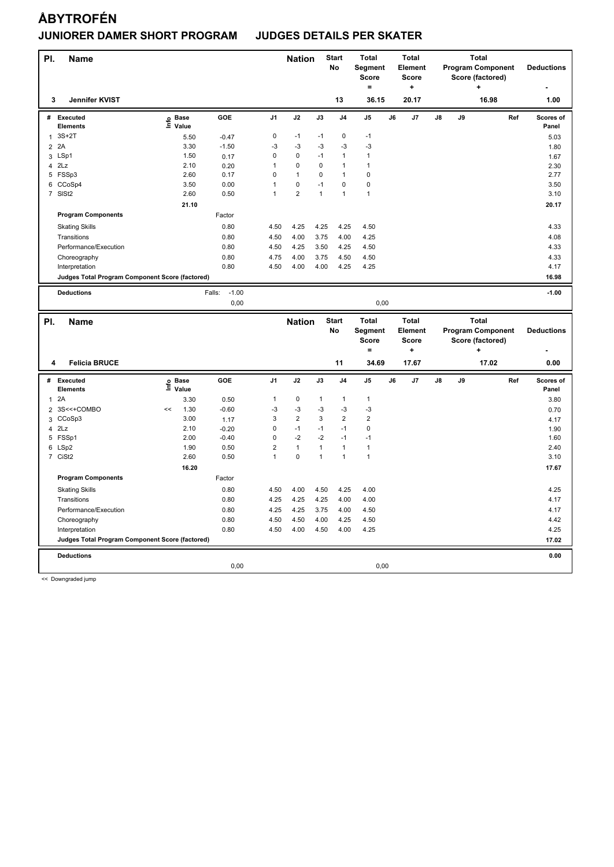| PI.            | <b>Name</b>                                     |                   |                   |                | <b>Nation</b>  |              | <b>Start</b><br>No | <b>Total</b><br>Segment<br><b>Score</b><br>$\equiv$ |    | <b>Total</b><br>Element<br><b>Score</b><br>$\ddot{}$ |    |    | <b>Total</b><br><b>Program Component</b><br>Score (factored)<br>÷ |     | <b>Deductions</b>  |
|----------------|-------------------------------------------------|-------------------|-------------------|----------------|----------------|--------------|--------------------|-----------------------------------------------------|----|------------------------------------------------------|----|----|-------------------------------------------------------------------|-----|--------------------|
| 3              | Jennifer KVIST                                  |                   |                   |                |                |              | 13                 | 36.15                                               |    | 20.17                                                |    |    | 16.98                                                             |     | 1.00               |
| #              | Executed<br>Elements                            | e Base<br>⊑ Value | GOE               | J1             | J2             | J3           | J4                 | J5                                                  | J6 | J7                                                   | J8 | J9 |                                                                   | Ref | Scores of<br>Panel |
| $\mathbf{1}$   | $3S+2T$                                         | 5.50              | $-0.47$           | $\pmb{0}$      | $-1$           | $-1$         | $\mathbf 0$        | $-1$                                                |    |                                                      |    |    |                                                                   |     | 5.03               |
| $\overline{2}$ | 2A                                              | 3.30              | $-1.50$           | -3             | -3             | -3           | $-3$               | -3                                                  |    |                                                      |    |    |                                                                   |     | 1.80               |
| 3              | LSp1                                            | 1.50              | 0.17              | 0              | $\pmb{0}$      | $-1$         | $\mathbf{1}$       | $\mathbf{1}$                                        |    |                                                      |    |    |                                                                   |     | 1.67               |
| $\overline{4}$ | 2Lz                                             | 2.10              | 0.20              | $\overline{1}$ | $\pmb{0}$      | 0            | $\mathbf{1}$       | $\mathbf{1}$                                        |    |                                                      |    |    |                                                                   |     | 2.30               |
|                | 5 FSSp3                                         | 2.60              | 0.17              | $\mathbf 0$    | $\mathbf{1}$   | $\mathbf 0$  | $\mathbf{1}$       | $\mathbf 0$                                         |    |                                                      |    |    |                                                                   |     | 2.77               |
|                | 6 CCoSp4                                        | 3.50              | 0.00              | 1              | $\pmb{0}$      | $-1$         | $\mathbf 0$        | $\mathbf 0$                                         |    |                                                      |    |    |                                                                   |     | 3.50               |
|                | 7 SISt2                                         | 2.60              | 0.50              | $\overline{1}$ | $\overline{2}$ | $\mathbf{1}$ | $\mathbf{1}$       | $\mathbf{1}$                                        |    |                                                      |    |    |                                                                   |     | 3.10               |
|                |                                                 | 21.10             |                   |                |                |              |                    |                                                     |    |                                                      |    |    |                                                                   |     | 20.17              |
|                | <b>Program Components</b>                       |                   | Factor            |                |                |              |                    |                                                     |    |                                                      |    |    |                                                                   |     |                    |
|                | <b>Skating Skills</b>                           |                   | 0.80              | 4.50           | 4.25           | 4.25         | 4.25               | 4.50                                                |    |                                                      |    |    |                                                                   |     | 4.33               |
|                | Transitions                                     |                   | 0.80              | 4.50           | 4.00           | 3.75         | 4.00               | 4.25                                                |    |                                                      |    |    |                                                                   |     | 4.08               |
|                | Performance/Execution                           |                   | 0.80              | 4.50           | 4.25           | 3.50         | 4.25               | 4.50                                                |    |                                                      |    |    |                                                                   |     | 4.33               |
|                | Choreography                                    |                   | 0.80              | 4.75           | 4.00           | 3.75         | 4.50               | 4.50                                                |    |                                                      |    |    |                                                                   |     | 4.33               |
|                | Interpretation                                  |                   | 0.80              | 4.50           | 4.00           | 4.00         | 4.25               | 4.25                                                |    |                                                      |    |    |                                                                   |     | 4.17               |
|                | Judges Total Program Component Score (factored) |                   |                   |                |                |              |                    |                                                     |    |                                                      |    |    |                                                                   |     | 16.98              |
|                |                                                 |                   |                   |                |                |              |                    |                                                     |    |                                                      |    |    |                                                                   |     |                    |
|                | <b>Deductions</b>                               |                   | $-1.00$<br>Falls: |                |                |              |                    |                                                     |    |                                                      |    |    |                                                                   |     | $-1.00$            |
|                |                                                 |                   | 0,00              |                |                |              |                    | 0,00                                                |    |                                                      |    |    |                                                                   |     |                    |
|                |                                                 |                   |                   |                |                |              |                    |                                                     |    |                                                      |    |    |                                                                   |     |                    |
|                |                                                 |                   |                   |                |                |              |                    |                                                     |    |                                                      |    |    |                                                                   |     |                    |
| PI.            | <b>Name</b>                                     |                   |                   |                | <b>Nation</b>  |              | <b>Start</b>       | <b>Total</b>                                        |    | <b>Total</b>                                         |    |    | <b>Total</b>                                                      |     |                    |
|                |                                                 |                   |                   |                |                |              | No                 | Segment                                             |    | Element                                              |    |    | <b>Program Component</b>                                          |     | <b>Deductions</b>  |
|                |                                                 |                   |                   |                |                |              |                    | <b>Score</b>                                        |    | <b>Score</b>                                         |    |    | Score (factored)                                                  |     |                    |
|                |                                                 |                   |                   |                |                |              |                    | $\qquad \qquad =$                                   |    | +                                                    |    |    |                                                                   |     |                    |
| 4              | <b>Felicia BRUCE</b>                            |                   |                   |                |                |              | 11                 | 34.69                                               |    | 17.67                                                |    |    | 17.02                                                             |     | 0.00               |
| #              | <b>Executed</b>                                 |                   | GOE               | J <sub>1</sub> | J2             | J3           | J <sub>4</sub>     | J5                                                  | J6 | J7                                                   | J8 | J9 |                                                                   | Ref | Scores of          |
|                | Elements                                        | e Base<br>⊑ Value |                   |                |                |              |                    |                                                     |    |                                                      |    |    |                                                                   |     | Panel              |
| $\mathbf{1}$   | 2A                                              | 3.30              | 0.50              | $\mathbf{1}$   | $\mathbf 0$    | 1            | $\mathbf{1}$       | $\mathbf{1}$                                        |    |                                                      |    |    |                                                                   |     | 3.80               |
|                | 2 3S<<+COMBO                                    | 1.30<br><<        | $-0.60$           | -3             | $-3$           | -3           | $-3$               | $-3$                                                |    |                                                      |    |    |                                                                   |     | 0.70               |
| 3              | CCoSp3                                          | 3.00              | 1.17              | 3              | $\overline{2}$ | 3            | $\overline{2}$     | $\overline{2}$                                      |    |                                                      |    |    |                                                                   |     | 4.17               |
| $\overline{4}$ | 2Lz                                             | 2.10              | $-0.20$           | $\mathbf 0$    | $-1$           | -1           | $-1$               | $\mathbf 0$                                         |    |                                                      |    |    |                                                                   |     | 1.90               |
|                | 5 FSSp1                                         | 2.00              | $-0.40$           | $\mathbf 0$    | $-2$           | $-2$         | $-1$               | $-1$                                                |    |                                                      |    |    |                                                                   |     | 1.60               |
| 6              | LSp2                                            | 1.90              | 0.50              | $\overline{2}$ | $\mathbf{1}$   | $\mathbf{1}$ | $\mathbf{1}$       | $\mathbf{1}$                                        |    |                                                      |    |    |                                                                   |     | 2.40               |
|                | 7 CiSt2                                         | 2.60              | 0.50              | 1              | $\mathbf 0$    | $\mathbf{1}$ | $\mathbf{1}$       | $\mathbf{1}$                                        |    |                                                      |    |    |                                                                   |     | 3.10               |
|                |                                                 | 16.20             |                   |                |                |              |                    |                                                     |    |                                                      |    |    |                                                                   |     | 17.67              |
|                | <b>Program Components</b>                       |                   | Factor            |                |                |              |                    |                                                     |    |                                                      |    |    |                                                                   |     |                    |
|                | <b>Skating Skills</b>                           |                   | 0.80              | 4.50           | 4.00           | 4.50         | 4.25               | 4.00                                                |    |                                                      |    |    |                                                                   |     | 4.25               |
|                | Transitions                                     |                   | 0.80              | 4.25           | 4.25           | 4.25         | 4.00               | 4.00                                                |    |                                                      |    |    |                                                                   |     | 4.17               |
|                | Performance/Execution                           |                   | 0.80              | 4.25           | 4.25           | 3.75         | 4.00               | 4.50                                                |    |                                                      |    |    |                                                                   |     | 4.17               |
|                | Choreography                                    |                   | 0.80              | 4.50           | 4.50           | 4.00         | 4.25               | 4.50                                                |    |                                                      |    |    |                                                                   |     | 4.42               |
|                | Interpretation                                  |                   | 0.80              | 4.50           | 4.00           | 4.50         | 4.00               | 4.25                                                |    |                                                      |    |    |                                                                   |     | 4.25               |
|                | Judges Total Program Component Score (factored) |                   |                   |                |                |              |                    |                                                     |    |                                                      |    |    |                                                                   |     | 17.02              |
|                |                                                 |                   |                   |                |                |              |                    |                                                     |    |                                                      |    |    |                                                                   |     |                    |
|                | <b>Deductions</b>                               |                   | 0,00              |                |                |              |                    | 0,00                                                |    |                                                      |    |    |                                                                   |     | 0.00               |

<< Downgraded jump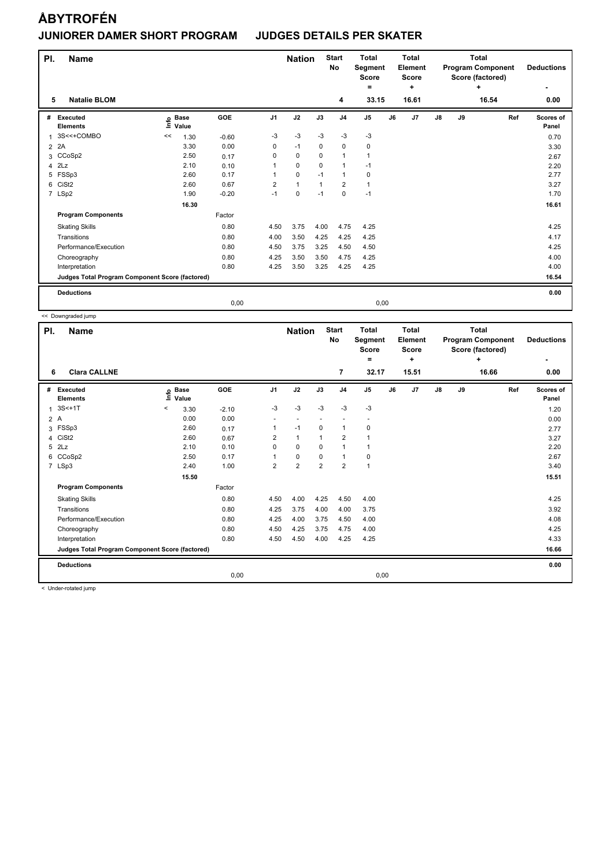| PI.<br>5 | <b>Name</b><br><b>Natalie BLOM</b>              |    |                            |         |                | <b>Nation</b> |              | <b>Start</b><br><b>No</b><br>4 | <b>Total</b><br>Segment<br><b>Score</b><br>$\equiv$<br>33.15 |      | <b>Total</b><br><b>Element</b><br><b>Score</b><br>٠<br>16.61 |               |    | <b>Total</b><br><b>Program Component</b><br>Score (factored)<br>4<br>16.54 | <b>Deductions</b><br>0.00 |
|----------|-------------------------------------------------|----|----------------------------|---------|----------------|---------------|--------------|--------------------------------|--------------------------------------------------------------|------|--------------------------------------------------------------|---------------|----|----------------------------------------------------------------------------|---------------------------|
|          |                                                 |    |                            |         |                |               |              |                                |                                                              |      |                                                              |               |    |                                                                            |                           |
| #        | Executed<br><b>Elements</b>                     |    | e Base<br>E Value<br>Value | GOE     | J <sub>1</sub> | J2            | J3           | J <sub>4</sub>                 | J <sub>5</sub>                                               | J6   | J7                                                           | $\mathsf{J}8$ | J9 | Ref                                                                        | Scores of<br>Panel        |
| 1        | 3S<<+COMBO                                      | << | 1.30                       | $-0.60$ | $-3$           | $-3$          | $-3$         | $-3$                           | $-3$                                                         |      |                                                              |               |    |                                                                            | 0.70                      |
|          | 2 2A                                            |    | 3.30                       | 0.00    | 0              | $-1$          | 0            | 0                              | 0                                                            |      |                                                              |               |    |                                                                            | 3.30                      |
|          | 3 CCoSp2                                        |    | 2.50                       | 0.17    | 0              | $\mathbf 0$   | $\Omega$     | $\mathbf{1}$                   | 1                                                            |      |                                                              |               |    |                                                                            | 2.67                      |
| 4        | 2Lz                                             |    | 2.10                       | 0.10    | 1              | $\mathbf 0$   | $\Omega$     | $\mathbf{1}$                   | $-1$                                                         |      |                                                              |               |    |                                                                            | 2.20                      |
| 5        | FSSp3                                           |    | 2.60                       | 0.17    | 1              | $\mathbf 0$   | $-1$         | $\mathbf{1}$                   | 0                                                            |      |                                                              |               |    |                                                                            | 2.77                      |
| 6        | CiSt <sub>2</sub>                               |    | 2.60                       | 0.67    | $\overline{2}$ | $\mathbf{1}$  | $\mathbf{1}$ | $\overline{2}$                 | 1                                                            |      |                                                              |               |    |                                                                            | 3.27                      |
|          | 7 LSp2                                          |    | 1.90                       | $-0.20$ | $-1$           | $\pmb{0}$     | $-1$         | $\mathbf 0$                    | $-1$                                                         |      |                                                              |               |    |                                                                            | 1.70                      |
|          |                                                 |    | 16.30                      |         |                |               |              |                                |                                                              |      |                                                              |               |    |                                                                            | 16.61                     |
|          | <b>Program Components</b>                       |    |                            | Factor  |                |               |              |                                |                                                              |      |                                                              |               |    |                                                                            |                           |
|          | <b>Skating Skills</b>                           |    |                            | 0.80    | 4.50           | 3.75          | 4.00         | 4.75                           | 4.25                                                         |      |                                                              |               |    |                                                                            | 4.25                      |
|          | Transitions                                     |    |                            | 0.80    | 4.00           | 3.50          | 4.25         | 4.25                           | 4.25                                                         |      |                                                              |               |    |                                                                            | 4.17                      |
|          | Performance/Execution                           |    |                            | 0.80    | 4.50           | 3.75          | 3.25         | 4.50                           | 4.50                                                         |      |                                                              |               |    |                                                                            | 4.25                      |
|          | Choreography                                    |    |                            | 0.80    | 4.25           | 3.50          | 3.50         | 4.75                           | 4.25                                                         |      |                                                              |               |    |                                                                            | 4.00                      |
|          | Interpretation                                  |    |                            | 0.80    | 4.25           | 3.50          | 3.25         | 4.25                           | 4.25                                                         |      |                                                              |               |    |                                                                            | 4.00                      |
|          | Judges Total Program Component Score (factored) |    |                            |         |                |               |              |                                |                                                              |      |                                                              |               |    |                                                                            | 16.54                     |
|          | <b>Deductions</b>                               |    |                            |         |                |               |              |                                |                                                              |      |                                                              |               |    |                                                                            | 0.00                      |
|          |                                                 |    |                            | 0,00    |                |               |              |                                |                                                              | 0,00 |                                                              |               |    |                                                                            |                           |

<< Downgraded jump

| PI. | <b>Name</b>                                     |                              |         |                | <b>Nation</b>  |                | <b>Start</b><br>No | <b>Total</b><br>Segment<br><b>Score</b> |    | <b>Total</b><br>Element<br><b>Score</b> |               |    | <b>Total</b><br><b>Program Component</b><br>Score (factored) | <b>Deductions</b>  |
|-----|-------------------------------------------------|------------------------------|---------|----------------|----------------|----------------|--------------------|-----------------------------------------|----|-----------------------------------------|---------------|----|--------------------------------------------------------------|--------------------|
|     |                                                 |                              |         |                |                |                |                    | ٠                                       |    | ٠                                       |               |    | ÷                                                            |                    |
| 6   | <b>Clara CALLNE</b>                             |                              |         |                |                |                | 7                  | 32.17                                   |    | 15.51                                   |               |    | 16.66                                                        | 0.00               |
| #   | Executed<br><b>Elements</b>                     | <b>Base</b><br>١nf٥<br>Value | GOE     | J <sub>1</sub> | J2             | J3             | J <sub>4</sub>     | J <sub>5</sub>                          | J6 | J7                                      | $\mathsf{J}8$ | J9 | Ref                                                          | Scores of<br>Panel |
| 1   | $3S<+1T$                                        | $\,<\,$<br>3.30              | $-2.10$ | $-3$           | $-3$           | $-3$           | $-3$               | $-3$                                    |    |                                         |               |    |                                                              | 1.20               |
| 2A  |                                                 | 0.00                         | 0.00    | ٠              | $\overline{a}$ |                |                    | $\overline{\phantom{a}}$                |    |                                         |               |    |                                                              | 0.00               |
| 3   | FSSp3                                           | 2.60                         | 0.17    | 1              | $-1$           | 0              | $\overline{1}$     | 0                                       |    |                                         |               |    |                                                              | 2.77               |
| 4   | CiSt <sub>2</sub>                               | 2.60                         | 0.67    | 2              | $\mathbf{1}$   | 1              | $\overline{2}$     | $\mathbf{1}$                            |    |                                         |               |    |                                                              | 3.27               |
| 5   | 2Lz                                             | 2.10                         | 0.10    | 0              | $\mathbf 0$    | $\Omega$       | $\overline{1}$     | 1                                       |    |                                         |               |    |                                                              | 2.20               |
| 6   | CCoSp2                                          | 2.50                         | 0.17    | $\mathbf 1$    | $\mathbf 0$    | 0              | $\overline{1}$     | 0                                       |    |                                         |               |    |                                                              | 2.67               |
|     | 7 LSp3                                          | 2.40                         | 1.00    | $\overline{2}$ | $\overline{2}$ | $\overline{2}$ | $\overline{2}$     | $\mathbf{1}$                            |    |                                         |               |    |                                                              | 3.40               |
|     |                                                 | 15.50                        |         |                |                |                |                    |                                         |    |                                         |               |    |                                                              | 15.51              |
|     | <b>Program Components</b>                       |                              | Factor  |                |                |                |                    |                                         |    |                                         |               |    |                                                              |                    |
|     | <b>Skating Skills</b>                           |                              | 0.80    | 4.50           | 4.00           | 4.25           | 4.50               | 4.00                                    |    |                                         |               |    |                                                              | 4.25               |
|     | Transitions                                     |                              | 0.80    | 4.25           | 3.75           | 4.00           | 4.00               | 3.75                                    |    |                                         |               |    |                                                              | 3.92               |
|     | Performance/Execution                           |                              | 0.80    | 4.25           | 4.00           | 3.75           | 4.50               | 4.00                                    |    |                                         |               |    |                                                              | 4.08               |
|     | Choreography                                    |                              | 0.80    | 4.50           | 4.25           | 3.75           | 4.75               | 4.00                                    |    |                                         |               |    |                                                              | 4.25               |
|     | Interpretation                                  |                              | 0.80    | 4.50           | 4.50           | 4.00           | 4.25               | 4.25                                    |    |                                         |               |    |                                                              | 4.33               |
|     | Judges Total Program Component Score (factored) |                              |         |                |                |                |                    |                                         |    |                                         |               |    |                                                              | 16.66              |
|     | <b>Deductions</b>                               |                              |         |                |                |                |                    |                                         |    |                                         |               |    |                                                              | 0.00               |
|     |                                                 |                              | 0,00    |                |                |                |                    | 0,00                                    |    |                                         |               |    |                                                              |                    |

< Under-rotated jump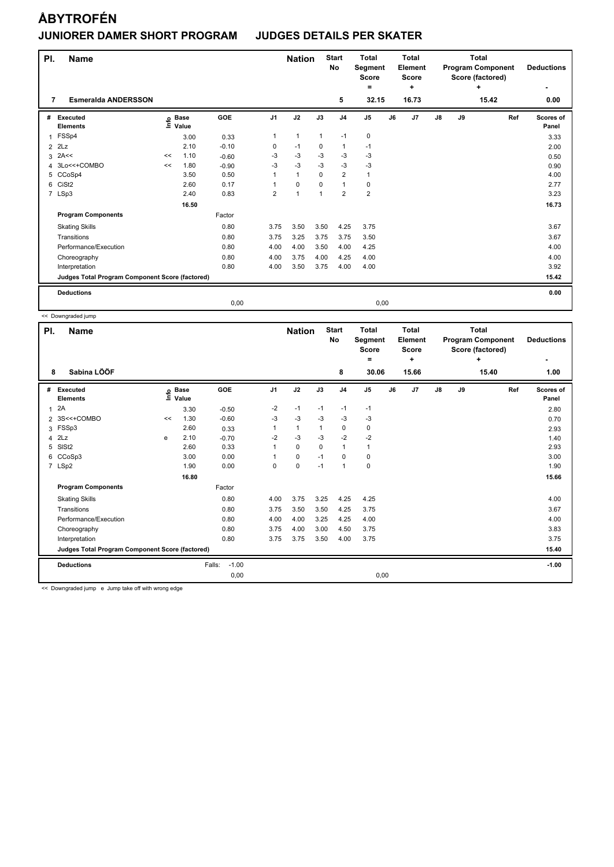| PI.            | <b>Name</b>                                     |      |                      |         |                | <b>Nation</b>  |              | <b>Start</b><br>No | <b>Total</b><br>Segment<br><b>Score</b><br>$\equiv$ |      | <b>Total</b><br><b>Element</b><br><b>Score</b><br>÷ |               |    | <b>Total</b><br><b>Program Component</b><br>Score (factored)<br>÷ | <b>Deductions</b>  |
|----------------|-------------------------------------------------|------|----------------------|---------|----------------|----------------|--------------|--------------------|-----------------------------------------------------|------|-----------------------------------------------------|---------------|----|-------------------------------------------------------------------|--------------------|
| 7              | <b>Esmeralda ANDERSSON</b>                      |      |                      |         |                |                |              | 5                  | 32.15                                               |      | 16.73                                               |               |    | 15.42                                                             | 0.00               |
| #              | Executed<br><b>Elements</b>                     | lnfo | <b>Base</b><br>Value | GOE     | J <sub>1</sub> | J2             | J3           | J <sub>4</sub>     | J <sub>5</sub>                                      | J6   | J7                                                  | $\mathsf{J}8$ | J9 | Ref                                                               | Scores of<br>Panel |
| $\mathbf 1$    | FSSp4                                           |      | 3.00                 | 0.33    | $\mathbf{1}$   | $\mathbf{1}$   | $\mathbf{1}$ | $-1$               | $\pmb{0}$                                           |      |                                                     |               |    |                                                                   | 3.33               |
| $\overline{2}$ | 2Lz                                             |      | 2.10                 | $-0.10$ | 0              | $-1$           | 0            | $\mathbf{1}$       | $-1$                                                |      |                                                     |               |    |                                                                   | 2.00               |
| 3              | 2A<<                                            | <<   | 1.10                 | $-0.60$ | $-3$           | $-3$           | $-3$         | $-3$               | $-3$                                                |      |                                                     |               |    |                                                                   | 0.50               |
|                | 4 3Lo<<+COMBO                                   | <<   | 1.80                 | $-0.90$ | -3             | $-3$           | $-3$         | $-3$               | $-3$                                                |      |                                                     |               |    |                                                                   | 0.90               |
| 5              | CCoSp4                                          |      | 3.50                 | 0.50    | 1              | $\mathbf{1}$   | $\mathbf 0$  | $\overline{2}$     | $\mathbf{1}$                                        |      |                                                     |               |    |                                                                   | 4.00               |
| 6              | CiSt <sub>2</sub>                               |      | 2.60                 | 0.17    | 1              | $\mathbf 0$    | $\mathbf 0$  | $\mathbf{1}$       | $\pmb{0}$                                           |      |                                                     |               |    |                                                                   | 2.77               |
|                | 7 LSp3                                          |      | 2.40                 | 0.83    | $\overline{2}$ | $\overline{1}$ |              | $\overline{2}$     | $\overline{\mathbf{c}}$                             |      |                                                     |               |    |                                                                   | 3.23               |
|                |                                                 |      | 16.50                |         |                |                |              |                    |                                                     |      |                                                     |               |    |                                                                   | 16.73              |
|                | <b>Program Components</b>                       |      |                      | Factor  |                |                |              |                    |                                                     |      |                                                     |               |    |                                                                   |                    |
|                | <b>Skating Skills</b>                           |      |                      | 0.80    | 3.75           | 3.50           | 3.50         | 4.25               | 3.75                                                |      |                                                     |               |    |                                                                   | 3.67               |
|                | Transitions                                     |      |                      | 0.80    | 3.75           | 3.25           | 3.75         | 3.75               | 3.50                                                |      |                                                     |               |    |                                                                   | 3.67               |
|                | Performance/Execution                           |      |                      | 0.80    | 4.00           | 4.00           | 3.50         | 4.00               | 4.25                                                |      |                                                     |               |    |                                                                   | 4.00               |
|                | Choreography                                    |      |                      | 0.80    | 4.00           | 3.75           | 4.00         | 4.25               | 4.00                                                |      |                                                     |               |    |                                                                   | 4.00               |
|                | Interpretation                                  |      |                      | 0.80    | 4.00           | 3.50           | 3.75         | 4.00               | 4.00                                                |      |                                                     |               |    |                                                                   | 3.92               |
|                | Judges Total Program Component Score (factored) |      |                      |         |                |                |              |                    |                                                     |      |                                                     |               |    |                                                                   | 15.42              |
|                | <b>Deductions</b>                               |      |                      |         |                |                |              |                    |                                                     |      |                                                     |               |    |                                                                   | 0.00               |
|                |                                                 |      |                      | 0,00    |                |                |              |                    |                                                     | 0,00 |                                                     |               |    |                                                                   |                    |

<< Downgraded jump

| PI.            | <b>Name</b>                                                                           |    |                      |                   |                | <b>Nation</b> |      | <b>Start</b><br><b>No</b> | <b>Total</b><br>Segment<br><b>Score</b><br>$=$ |    | <b>Total</b><br>Element<br><b>Score</b><br>÷ |    |    | <b>Total</b><br><b>Program Component</b><br>Score (factored)<br>÷ | <b>Deductions</b><br>٠ |
|----------------|---------------------------------------------------------------------------------------|----|----------------------|-------------------|----------------|---------------|------|---------------------------|------------------------------------------------|----|----------------------------------------------|----|----|-------------------------------------------------------------------|------------------------|
| 8              | Sabina LÖÖF                                                                           |    |                      |                   |                |               |      | 8                         | 30.06                                          |    | 15.66                                        |    |    | 15.40                                                             | 1.00                   |
| #              | Executed<br><b>Elements</b>                                                           | e  | <b>Base</b><br>Value | GOE               | J <sub>1</sub> | J2            | J3   | J <sub>4</sub>            | J5                                             | J6 | J7                                           | J8 | J9 | Ref                                                               | Scores of<br>Panel     |
| 1              | 2A                                                                                    |    | 3.30                 | $-0.50$           | $-2$           | $-1$          | $-1$ | $-1$                      | $-1$                                           |    |                                              |    |    |                                                                   | 2.80                   |
| $\overline{2}$ | 3S<<+COMBO                                                                            | << | 1.30                 | $-0.60$           | $-3$           | $-3$          | $-3$ | $-3$                      | $-3$                                           |    |                                              |    |    |                                                                   | 0.70                   |
| 3              | FSSp3                                                                                 |    | 2.60                 | 0.33              |                | $\mathbf{1}$  | 1    | 0                         | 0                                              |    |                                              |    |    |                                                                   | 2.93                   |
| 4              | 2Lz                                                                                   | e  | 2.10                 | $-0.70$           | $-2$           | $-3$          | $-3$ | $-2$                      | $-2$                                           |    |                                              |    |    |                                                                   | 1.40                   |
| 5              | SISt <sub>2</sub>                                                                     |    | 2.60                 | 0.33              |                | $\mathbf 0$   | 0    | $\mathbf{1}$              | 1                                              |    |                                              |    |    |                                                                   | 2.93                   |
| 6              | CCoSp3                                                                                |    | 3.00                 | 0.00              |                | $\pmb{0}$     | $-1$ | 0                         | 0                                              |    |                                              |    |    |                                                                   | 3.00                   |
|                | 7 LSp2                                                                                |    | 1.90                 | 0.00              | 0              | $\mathbf 0$   | $-1$ | $\mathbf{1}$              | 0                                              |    |                                              |    |    |                                                                   | 1.90                   |
|                |                                                                                       |    | 16.80                |                   |                |               |      |                           |                                                |    |                                              |    |    |                                                                   | 15.66                  |
|                | <b>Program Components</b>                                                             |    |                      | Factor            |                |               |      |                           |                                                |    |                                              |    |    |                                                                   |                        |
|                | <b>Skating Skills</b>                                                                 |    |                      | 0.80              | 4.00           | 3.75          | 3.25 | 4.25                      | 4.25                                           |    |                                              |    |    |                                                                   | 4.00                   |
|                | Transitions                                                                           |    |                      | 0.80              | 3.75           | 3.50          | 3.50 | 4.25                      | 3.75                                           |    |                                              |    |    |                                                                   | 3.67                   |
|                | Performance/Execution                                                                 |    |                      | 0.80              | 4.00           | 4.00          | 3.25 | 4.25                      | 4.00                                           |    |                                              |    |    |                                                                   | 4.00                   |
|                | Choreography                                                                          |    |                      | 0.80              | 3.75           | 4.00          | 3.00 | 4.50                      | 3.75                                           |    |                                              |    |    |                                                                   | 3.83                   |
|                | Interpretation                                                                        |    |                      | 0.80              | 3.75           | 3.75          | 3.50 | 4.00                      | 3.75                                           |    |                                              |    |    |                                                                   | 3.75                   |
|                | Judges Total Program Component Score (factored)                                       |    |                      |                   |                |               |      |                           |                                                |    |                                              |    |    |                                                                   | 15.40                  |
|                | <b>Deductions</b>                                                                     |    |                      | $-1.00$<br>Falls: |                |               |      |                           |                                                |    |                                              |    |    |                                                                   | $-1.00$                |
|                |                                                                                       |    |                      | 0,00              |                |               |      |                           | 0,00                                           |    |                                              |    |    |                                                                   |                        |
|                | and the companies of these are all those and considered the companies of the constant |    |                      |                   |                |               |      |                           |                                                |    |                                              |    |    |                                                                   |                        |

<< Downgraded jump e Jump take off with wrong edge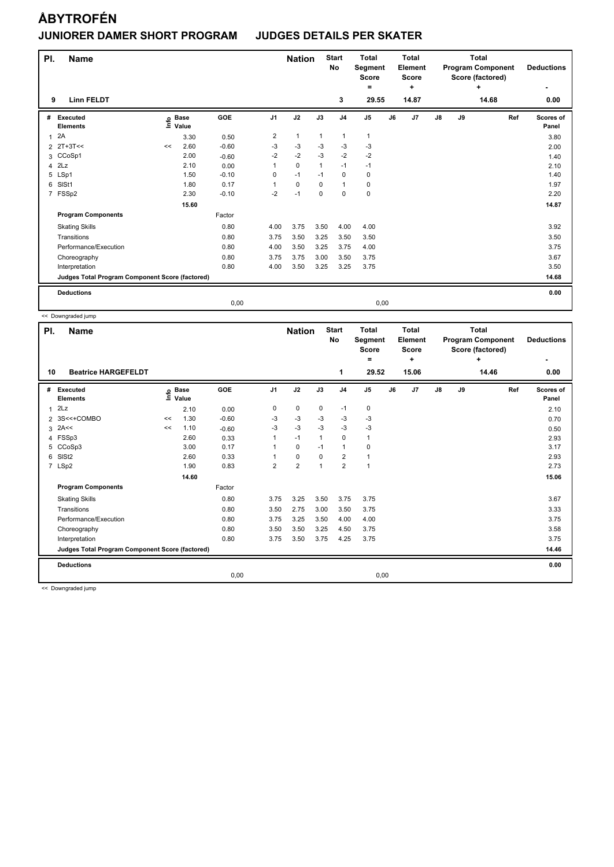| PI.<br>9       | <b>Name</b><br><b>Linn FELDT</b>                |    |                            |         |                | <b>Nation</b> |              | <b>Start</b><br>No<br>3 | <b>Total</b><br>Segment<br><b>Score</b><br>$=$<br>29.55 |    | <b>Total</b><br><b>Element</b><br><b>Score</b><br>٠<br>14.87 |               |    | <b>Total</b><br><b>Program Component</b><br>Score (factored)<br>÷<br>14.68 | <b>Deductions</b><br>0.00 |
|----------------|-------------------------------------------------|----|----------------------------|---------|----------------|---------------|--------------|-------------------------|---------------------------------------------------------|----|--------------------------------------------------------------|---------------|----|----------------------------------------------------------------------------|---------------------------|
|                |                                                 |    |                            |         |                |               |              |                         |                                                         |    |                                                              |               |    |                                                                            |                           |
| #              | Executed<br><b>Elements</b>                     |    | e Base<br>⊑ Value<br>Value | GOE     | J <sub>1</sub> | J2            | J3           | J <sub>4</sub>          | J <sub>5</sub>                                          | J6 | J7                                                           | $\mathsf{J}8$ | J9 | Ref                                                                        | Scores of<br>Panel        |
| $\mathbf{1}$   | 2A                                              |    | 3.30                       | 0.50    | $\overline{2}$ | $\mathbf{1}$  | $\mathbf{1}$ | 1                       | $\mathbf{1}$                                            |    |                                                              |               |    |                                                                            | 3.80                      |
| $\overline{2}$ | $2T+3T<<$                                       | << | 2.60                       | $-0.60$ | -3             | $-3$          | -3           | -3                      | $-3$                                                    |    |                                                              |               |    |                                                                            | 2.00                      |
|                | 3 CCoSp1                                        |    | 2.00                       | $-0.60$ | $-2$           | $-2$          | $-3$         | $-2$                    | $-2$                                                    |    |                                                              |               |    |                                                                            | 1.40                      |
| 4              | 2Lz                                             |    | 2.10                       | 0.00    |                | $\mathbf 0$   | $\mathbf{1}$ | $-1$                    | $-1$                                                    |    |                                                              |               |    |                                                                            | 2.10                      |
| 5              | LSp1                                            |    | 1.50                       | $-0.10$ | 0              | $-1$          | $-1$         | $\mathbf 0$             | 0                                                       |    |                                                              |               |    |                                                                            | 1.40                      |
| 6              | SISt1                                           |    | 1.80                       | 0.17    |                | $\mathbf 0$   | $\mathbf 0$  | $\mathbf{1}$            | 0                                                       |    |                                                              |               |    |                                                                            | 1.97                      |
|                | 7 FSSp2                                         |    | 2.30                       | $-0.10$ | $-2$           | $-1$          | $\mathbf 0$  | $\mathbf 0$             | 0                                                       |    |                                                              |               |    |                                                                            | 2.20                      |
|                |                                                 |    | 15.60                      |         |                |               |              |                         |                                                         |    |                                                              |               |    |                                                                            | 14.87                     |
|                | <b>Program Components</b>                       |    |                            | Factor  |                |               |              |                         |                                                         |    |                                                              |               |    |                                                                            |                           |
|                | <b>Skating Skills</b>                           |    |                            | 0.80    | 4.00           | 3.75          | 3.50         | 4.00                    | 4.00                                                    |    |                                                              |               |    |                                                                            | 3.92                      |
|                | Transitions                                     |    |                            | 0.80    | 3.75           | 3.50          | 3.25         | 3.50                    | 3.50                                                    |    |                                                              |               |    |                                                                            | 3.50                      |
|                | Performance/Execution                           |    |                            | 0.80    | 4.00           | 3.50          | 3.25         | 3.75                    | 4.00                                                    |    |                                                              |               |    |                                                                            | 3.75                      |
|                | Choreography                                    |    |                            | 0.80    | 3.75           | 3.75          | 3.00         | 3.50                    | 3.75                                                    |    |                                                              |               |    |                                                                            | 3.67                      |
|                | Interpretation                                  |    |                            | 0.80    | 4.00           | 3.50          | 3.25         | 3.25                    | 3.75                                                    |    |                                                              |               |    |                                                                            | 3.50                      |
|                | Judges Total Program Component Score (factored) |    |                            |         |                |               |              |                         |                                                         |    |                                                              |               |    |                                                                            | 14.68                     |
|                | <b>Deductions</b>                               |    |                            |         |                |               |              |                         |                                                         |    |                                                              |               |    |                                                                            | 0.00                      |
|                |                                                 |    |                            | 0,00    |                |               |              |                         | 0,00                                                    |    |                                                              |               |    |                                                                            |                           |

<< Downgraded jump

| ÷<br>=                                                                                                                                                    |           |                    |
|-----------------------------------------------------------------------------------------------------------------------------------------------------------|-----------|--------------------|
| 1<br>29.52<br>15.06<br><b>Beatrice HARGEFELDT</b><br>10                                                                                                   | 14.46     | 0.00               |
| J2<br>GOE<br>J <sub>1</sub><br>J3<br>J <sub>4</sub><br>J <sub>5</sub><br>J6<br>J7<br>J8<br>#<br>Executed<br><b>Base</b><br>۴ů<br>Value<br><b>Elements</b> | J9<br>Ref | Scores of<br>Panel |
| $\mathbf 0$<br>0<br>0<br>$-1$<br>2Lz<br>0<br>2.10<br>0.00<br>1                                                                                            |           | 2.10               |
| $-3$<br>$-3$<br>3S<<+COMBO<br>1.30<br>$-0.60$<br>$-3$<br>$-3$<br>$-3$<br><<<br>2                                                                          |           | 0.70               |
| $-3$<br>$-3$<br>$-3$<br>$-3$<br>-3<br>2A<<<br>1.10<br>$-0.60$<br>3<br><<                                                                                  |           | 0.50               |
| FSSp3<br>2.60<br>$-1$<br>$\mathbf 0$<br>$\overline{1}$<br>$\mathbf{1}$<br>1<br>0.33<br>4                                                                  |           | 2.93               |
| 5 CCoSp3<br>0.17<br>$\mathbf 0$<br>0<br>3.00<br>$\mathbf{1}$<br>$-1$                                                                                      |           | 3.17               |
| $\mathbf 0$<br>$\overline{2}$<br>6<br>SISt <sub>2</sub><br>2.60<br>0.33<br>$\mathbf 0$<br>$\mathbf{1}$                                                    |           | 2.93               |
| $\overline{2}$<br>$\overline{2}$<br>$\overline{2}$<br>$\mathbf{1}$<br>7 LSp2<br>1.90<br>0.83<br>$\overline{1}$                                            |           | 2.73               |
| 14.60                                                                                                                                                     |           | 15.06              |
| <b>Program Components</b><br>Factor                                                                                                                       |           |                    |
| 3.25<br>3.75<br>3.75<br>0.80<br>3.75<br>3.50<br><b>Skating Skills</b>                                                                                     |           | 3.67               |
| Transitions<br>0.80<br>3.50<br>2.75<br>3.00<br>3.50<br>3.75                                                                                               |           | 3.33               |
| Performance/Execution<br>3.25<br>0.80<br>3.75<br>3.50<br>4.00<br>4.00                                                                                     |           | 3.75               |
| 3.50<br>3.75<br>0.80<br>3.50<br>3.25<br>4.50<br>Choreography                                                                                              |           | 3.58               |
| 0.80<br>3.75<br>3.50<br>3.75<br>4.25<br>3.75<br>Interpretation                                                                                            |           | 3.75               |
| Judges Total Program Component Score (factored)                                                                                                           |           | 14.46              |
| <b>Deductions</b>                                                                                                                                         |           | 0.00               |
| 0,00<br>0,00                                                                                                                                              |           |                    |

<< Downgraded jump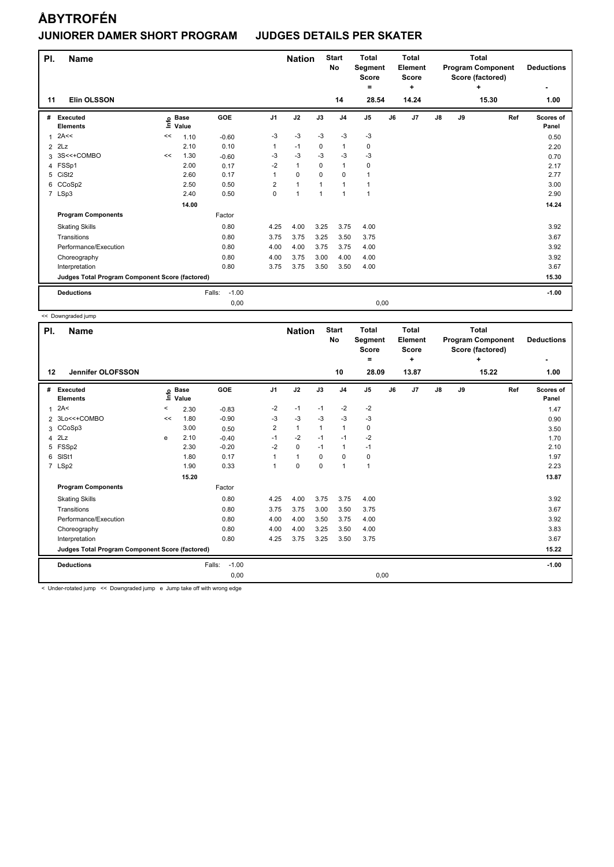| PI.<br>11      | <b>Name</b><br><b>Elin OLSSON</b>               |    |                            |                   |                         | <b>Nation</b>        |                | <b>Start</b><br><b>No</b><br>14 | <b>Total</b><br>Segment<br><b>Score</b><br>Ξ.<br>28.54 |      | <b>Total</b><br>Element<br><b>Score</b><br>÷<br>14.24 |               |    | <b>Total</b><br><b>Program Component</b><br>Score (factored)<br>÷<br>15.30 | <b>Deductions</b><br>1.00 |
|----------------|-------------------------------------------------|----|----------------------------|-------------------|-------------------------|----------------------|----------------|---------------------------------|--------------------------------------------------------|------|-------------------------------------------------------|---------------|----|----------------------------------------------------------------------------|---------------------------|
| #              | Executed<br><b>Elements</b>                     |    | e Base<br>E Value<br>Value | GOE               | J <sub>1</sub>          | J2                   | J3             | J <sub>4</sub>                  | J <sub>5</sub>                                         | J6   | J7                                                    | $\mathsf{J}8$ | J9 | Ref                                                                        | Scores of<br>Panel        |
| $\mathbf{1}$   | 2A<<                                            | << | 1.10                       | $-0.60$           | -3                      | -3                   | $-3$           | $-3$                            | $-3$                                                   |      |                                                       |               |    |                                                                            | 0.50                      |
| $\overline{2}$ | 2Lz                                             |    | 2.10                       | 0.10              | $\mathbf{1}$            | $-1$                 | 0              | 1                               | 0                                                      |      |                                                       |               |    |                                                                            | 2.20                      |
|                | 3 3S<<+COMBO                                    | << | 1.30                       | $-0.60$           | -3                      | $-3$                 | $-3$           | $-3$                            | $-3$                                                   |      |                                                       |               |    |                                                                            | 0.70                      |
|                | 4 FSSp1                                         |    | 2.00                       | 0.17              | $-2$                    | $\mathbf{1}$         | $\Omega$       | $\mathbf{1}$                    | $\mathbf 0$                                            |      |                                                       |               |    |                                                                            | 2.17                      |
| 5              | CiSt <sub>2</sub>                               |    | 2.60                       | 0.17              |                         | $\mathbf 0$          | $\mathbf 0$    | $\mathbf 0$                     | 1                                                      |      |                                                       |               |    |                                                                            | 2.77                      |
| 6              | CCoSp2                                          |    | 2.50                       | 0.50              | $\overline{\mathbf{c}}$ | 1                    | $\mathbf 1$    | $\mathbf{1}$                    | 1                                                      |      |                                                       |               |    |                                                                            | 3.00                      |
|                | 7 LSp3                                          |    | 2.40                       | 0.50              | 0                       | $\blacktriangleleft$ | $\overline{1}$ | $\mathbf{1}$                    | 1                                                      |      |                                                       |               |    |                                                                            | 2.90                      |
|                |                                                 |    | 14.00                      |                   |                         |                      |                |                                 |                                                        |      |                                                       |               |    |                                                                            | 14.24                     |
|                | <b>Program Components</b>                       |    |                            | Factor            |                         |                      |                |                                 |                                                        |      |                                                       |               |    |                                                                            |                           |
|                | <b>Skating Skills</b>                           |    |                            | 0.80              | 4.25                    | 4.00                 | 3.25           | 3.75                            | 4.00                                                   |      |                                                       |               |    |                                                                            | 3.92                      |
|                | Transitions                                     |    |                            | 0.80              | 3.75                    | 3.75                 | 3.25           | 3.50                            | 3.75                                                   |      |                                                       |               |    |                                                                            | 3.67                      |
|                | Performance/Execution                           |    |                            | 0.80              | 4.00                    | 4.00                 | 3.75           | 3.75                            | 4.00                                                   |      |                                                       |               |    |                                                                            | 3.92                      |
|                | Choreography                                    |    |                            | 0.80              | 4.00                    | 3.75                 | 3.00           | 4.00                            | 4.00                                                   |      |                                                       |               |    |                                                                            | 3.92                      |
|                | Interpretation                                  |    |                            | 0.80              | 3.75                    | 3.75                 | 3.50           | 3.50                            | 4.00                                                   |      |                                                       |               |    |                                                                            | 3.67                      |
|                | Judges Total Program Component Score (factored) |    |                            |                   |                         |                      |                |                                 |                                                        |      |                                                       |               |    |                                                                            | 15.30                     |
|                | <b>Deductions</b>                               |    |                            | $-1.00$<br>Falls: |                         |                      |                |                                 |                                                        |      |                                                       |               |    |                                                                            | $-1.00$                   |
|                |                                                 |    |                            | 0,00              |                         |                      |                |                                 |                                                        | 0,00 |                                                       |               |    |                                                                            |                           |

<< Downgraded jump

| PI.            | <b>Name</b>                                     |         |                            |                   |                | <b>Nation</b> |              | <b>Start</b><br>No | <b>Total</b><br>Segment<br><b>Score</b><br>۰ |    | <b>Total</b><br>Element<br><b>Score</b><br>٠ |               |    | <b>Total</b><br><b>Program Component</b><br>Score (factored)<br>$\ddot{}$ | <b>Deductions</b><br>٠    |
|----------------|-------------------------------------------------|---------|----------------------------|-------------------|----------------|---------------|--------------|--------------------|----------------------------------------------|----|----------------------------------------------|---------------|----|---------------------------------------------------------------------------|---------------------------|
| 12             | Jennifer OLOFSSON                               |         |                            |                   |                |               |              | 10                 | 28.09                                        |    | 13.87                                        |               |    | 15.22                                                                     | 1.00                      |
| #              | Executed<br><b>Elements</b>                     |         | e Base<br>E Value<br>Value | <b>GOE</b>        | J <sub>1</sub> | J2            | J3           | J <sub>4</sub>     | J <sub>5</sub>                               | J6 | J <sub>7</sub>                               | $\mathsf{J}8$ | J9 | Ref                                                                       | <b>Scores of</b><br>Panel |
| 1              | 2A<                                             | $\,<\,$ | 2.30                       | $-0.83$           | $-2$           | $-1$          | $-1$         | $-2$               | $-2$                                         |    |                                              |               |    |                                                                           | 1.47                      |
|                | 2 3Lo<<+COMBO                                   | <<      | 1.80                       | $-0.90$           | $-3$           | $-3$          | $-3$         | $-3$               | $-3$                                         |    |                                              |               |    |                                                                           | 0.90                      |
|                | 3 CCoSp3                                        |         | 3.00                       | 0.50              | 2              | $\mathbf{1}$  | $\mathbf{1}$ | $\overline{1}$     | $\pmb{0}$                                    |    |                                              |               |    |                                                                           | 3.50                      |
| $\overline{4}$ | 2Lz                                             | e       | 2.10                       | $-0.40$           | $-1$           | $-2$          | $-1$         | $-1$               | $-2$                                         |    |                                              |               |    |                                                                           | 1.70                      |
| 5              | FSSp2                                           |         | 2.30                       | $-0.20$           | $-2$           | 0             | $-1$         | $\overline{1}$     | $-1$                                         |    |                                              |               |    |                                                                           | 2.10                      |
| 6              | SISt1                                           |         | 1.80                       | 0.17              | 1              | $\mathbf{1}$  | $\Omega$     | $\mathbf 0$        | 0                                            |    |                                              |               |    |                                                                           | 1.97                      |
|                | 7 LSp2                                          |         | 1.90                       | 0.33              | 1              | $\mathbf 0$   | $\Omega$     | $\overline{1}$     | 1                                            |    |                                              |               |    |                                                                           | 2.23                      |
|                |                                                 |         | 15.20                      |                   |                |               |              |                    |                                              |    |                                              |               |    |                                                                           | 13.87                     |
|                | <b>Program Components</b>                       |         |                            | Factor            |                |               |              |                    |                                              |    |                                              |               |    |                                                                           |                           |
|                | <b>Skating Skills</b>                           |         |                            | 0.80              | 4.25           | 4.00          | 3.75         | 3.75               | 4.00                                         |    |                                              |               |    |                                                                           | 3.92                      |
|                | Transitions                                     |         |                            | 0.80              | 3.75           | 3.75          | 3.00         | 3.50               | 3.75                                         |    |                                              |               |    |                                                                           | 3.67                      |
|                | Performance/Execution                           |         |                            | 0.80              | 4.00           | 4.00          | 3.50         | 3.75               | 4.00                                         |    |                                              |               |    |                                                                           | 3.92                      |
|                | Choreography                                    |         |                            | 0.80              | 4.00           | 4.00          | 3.25         | 3.50               | 4.00                                         |    |                                              |               |    |                                                                           | 3.83                      |
|                | Interpretation                                  |         |                            | 0.80              | 4.25           | 3.75          | 3.25         | 3.50               | 3.75                                         |    |                                              |               |    |                                                                           | 3.67                      |
|                | Judges Total Program Component Score (factored) |         |                            |                   |                |               |              |                    |                                              |    |                                              |               |    |                                                                           | 15.22                     |
|                | <b>Deductions</b>                               |         |                            | $-1.00$<br>Falls: |                |               |              |                    |                                              |    |                                              |               |    |                                                                           | $-1.00$                   |
|                |                                                 |         |                            | 0,00              |                |               |              |                    | 0,00                                         |    |                                              |               |    |                                                                           |                           |

< Under-rotated jump << Downgraded jump e Jump take off with wrong edge